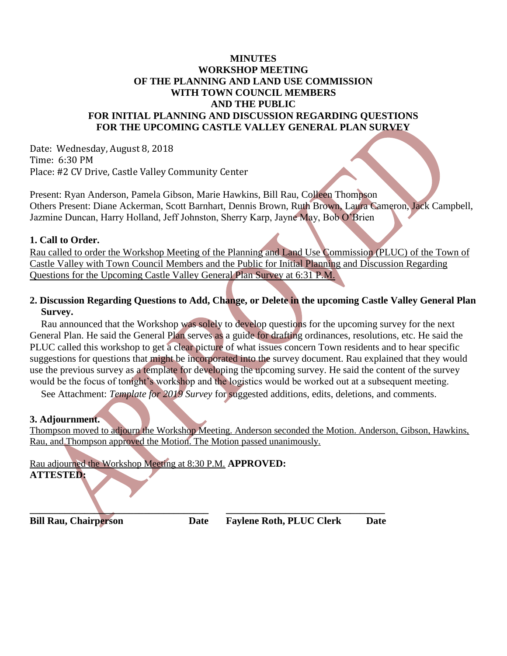## **MINUTES WORKSHOP MEETING OF THE PLANNING AND LAND USE COMMISSION WITH TOWN COUNCIL MEMBERS AND THE PUBLIC FOR INITIAL PLANNING AND DISCUSSION REGARDING QUESTIONS FOR THE UPCOMING CASTLE VALLEY GENERAL PLAN SURVEY**

Date: Wednesday, August 8, 2018 Time: 6:30 PM Place: #2 CV Drive, Castle Valley Community Center

Present: Ryan Anderson, Pamela Gibson, Marie Hawkins, Bill Rau, Colleen Thompson Others Present: Diane Ackerman, Scott Barnhart, Dennis Brown, Ruth Brown, Laura Cameron, Jack Campbell, Jazmine Duncan, Harry Holland, Jeff Johnston, Sherry Karp, Jayne May, Bob O'Brien

### **1. Call to Order.**

Rau called to order the Workshop Meeting of the Planning and Land Use Commission (PLUC) of the Town of Castle Valley with Town Council Members and the Public for Initial Planning and Discussion Regarding Questions for the Upcoming Castle Valley General Plan Survey at 6:31 P.M.

## **2. Discussion Regarding Questions to Add, Change, or Delete in the upcoming Castle Valley General Plan Survey.**

Rau announced that the Workshop was solely to develop questions for the upcoming survey for the next General Plan. He said the General Plan serves as a guide for drafting ordinances, resolutions, etc. He said the PLUC called this workshop to get a clear picture of what issues concern Town residents and to hear specific suggestions for questions that might be incorporated into the survey document. Rau explained that they would use the previous survey as a template for developing the upcoming survey. He said the content of the survey would be the focus of tonight's workshop and the logistics would be worked out at a subsequent meeting.

See Attachment: *Template for 2019 Survey* for suggested additions, edits, deletions, and comments.

## **3. Adjournment.**

Thompson moved to adjourn the Workshop Meeting. Anderson seconded the Motion. Anderson, Gibson, Hawkins, Rau, and Thompson approved the Motion. The Motion passed unanimously.

Rau adjourned the Workshop Meeting at 8:30 P.M. **APPROVED: ATTESTED:**

**\_\_\_\_\_\_\_\_\_\_\_\_\_\_\_\_\_\_\_\_\_\_\_\_\_\_\_\_\_\_\_\_\_\_\_\_ \_\_\_\_\_\_\_\_\_\_\_\_\_\_\_\_\_\_\_\_\_\_\_\_\_\_\_\_\_\_\_\_**

**Bill Rau, Chairperson Date Faylene Roth, PLUC Clerk Date**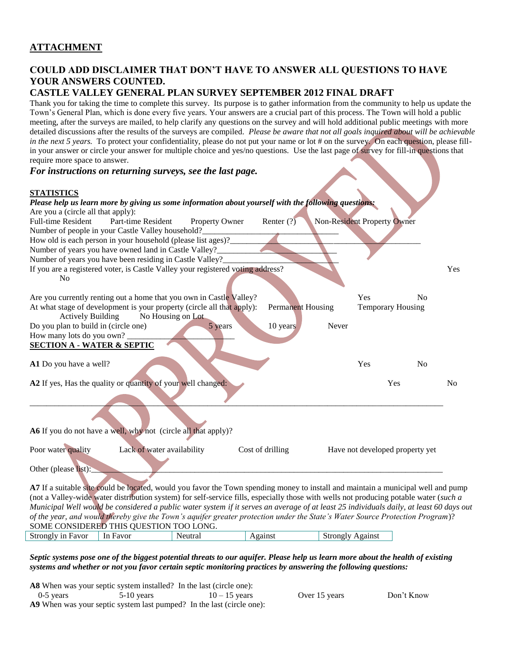# **COULD ADD DISCLAIMER THAT DON'T HAVE TO ANSWER ALL QUESTIONS TO HAVE YOUR ANSWERS COUNTED.**

## **CASTLE VALLEY GENERAL PLAN SURVEY SEPTEMBER 2012 FINAL DRAFT**

Thank you for taking the time to complete this survey. Its purpose is to gather information from the community to help us update the Town's General Plan, which is done every five years*.* Your answers are a crucial part of this process. The Town will hold a public meeting, after the surveys are mailed, to help clarify any questions on the survey and will hold additional public meetings with more detailed discussions after the results of the surveys are compiled. *Please be aware that not all goals inquired about will be achievable in the next 5 years.* To protect your confidentiality, please do not put your name or lot # on the survey. On each question, please fillin your answer or circle your answer for multiple choice and yes/no questions.Use the last page of survey for fill-in questions that require more space to answer.

#### *For instructions on returning surveys, see the last page.*

#### **STATISTICS**

 $\sqrt{2}$ 

| 9 1 A 1 1 D 1 1 U D                   |                                                                                                                                                                                                                                                                                  |                   |                          |                             |                                 |                |                |
|---------------------------------------|----------------------------------------------------------------------------------------------------------------------------------------------------------------------------------------------------------------------------------------------------------------------------------|-------------------|--------------------------|-----------------------------|---------------------------------|----------------|----------------|
|                                       | Please help us learn more by giving us some information about yourself with the following questions:                                                                                                                                                                             |                   |                          |                             |                                 |                |                |
| Are you a (circle all that apply):    |                                                                                                                                                                                                                                                                                  |                   |                          |                             |                                 |                |                |
| <b>Full-time Resident</b>             | Part-time Resident                                                                                                                                                                                                                                                               | Property Owner    | Renter $(?)$             | Non-Resident Property Owner |                                 |                |                |
|                                       | Number of people in your Castle Valley household?                                                                                                                                                                                                                                |                   |                          |                             |                                 |                |                |
|                                       | How old is each person in your household (please list ages)?                                                                                                                                                                                                                     |                   |                          |                             |                                 |                |                |
|                                       | Number of years you have owned land in Castle Valley?_                                                                                                                                                                                                                           |                   |                          |                             |                                 |                |                |
|                                       | Number of years you have been residing in Castle Valley?                                                                                                                                                                                                                         |                   |                          |                             |                                 |                |                |
|                                       | If you are a registered voter, is Castle Valley your registered voting address?                                                                                                                                                                                                  |                   |                          |                             |                                 |                | Yes            |
| N <sub>o</sub>                        | Are you currently renting out a home that you own in Castle Valley?                                                                                                                                                                                                              |                   |                          |                             | Yes                             | N <sub>0</sub> |                |
|                                       | At what stage of development is your property (circle all that apply):                                                                                                                                                                                                           |                   | <b>Permanent Housing</b> |                             | <b>Temporary Housing</b>        |                |                |
| <b>Actively Building</b>              |                                                                                                                                                                                                                                                                                  | No Housing on Lot |                          |                             |                                 |                |                |
| Do you plan to build in (circle one)  |                                                                                                                                                                                                                                                                                  | 5 years           | 10 years                 | Never                       |                                 |                |                |
| How many lots do you own?             |                                                                                                                                                                                                                                                                                  |                   |                          |                             |                                 |                |                |
| <b>SECTION A - WATER &amp; SEPTIC</b> |                                                                                                                                                                                                                                                                                  |                   |                          |                             |                                 |                |                |
|                                       |                                                                                                                                                                                                                                                                                  |                   |                          |                             |                                 |                |                |
| A1 Do you have a well?                |                                                                                                                                                                                                                                                                                  |                   |                          |                             | Yes                             | N <sub>o</sub> |                |
|                                       |                                                                                                                                                                                                                                                                                  |                   |                          |                             |                                 |                |                |
|                                       | A2 If yes, Has the quality or quantity of your well changed:                                                                                                                                                                                                                     |                   |                          |                             | Yes                             |                | N <sub>0</sub> |
|                                       |                                                                                                                                                                                                                                                                                  |                   |                          |                             |                                 |                |                |
|                                       |                                                                                                                                                                                                                                                                                  |                   |                          |                             |                                 |                |                |
|                                       | A6 If you do not have a well, why not (circle all that apply)?                                                                                                                                                                                                                   |                   |                          |                             |                                 |                |                |
| Poor water quality                    | Lack of water availability                                                                                                                                                                                                                                                       |                   | Cost of drilling         |                             | Have not developed property yet |                |                |
| Other (please list):                  |                                                                                                                                                                                                                                                                                  |                   |                          |                             |                                 |                |                |
|                                       |                                                                                                                                                                                                                                                                                  |                   |                          |                             |                                 |                |                |
|                                       | A7 If a suitable site could be located, would you favor the Town spending money to install and maintain a municipal well and pump                                                                                                                                                |                   |                          |                             |                                 |                |                |
|                                       | (not a Valley-wide water distribution system) for self-service fills, especially those with wells not producing potable water (such a<br>Municipal Well would be considered a public water system if it serves an average of at least 25 individuals daily, at least 60 days out |                   |                          |                             |                                 |                |                |
|                                       |                                                                                                                                                                                                                                                                                  |                   |                          |                             |                                 |                |                |
|                                       | of the year, and would thereby give the Town's aquifer greater protection under the State's Water Source Protection Program)?                                                                                                                                                    |                   |                          |                             |                                 |                |                |
|                                       | SOME CONSIDERED THIS QUESTION TOO LONG.                                                                                                                                                                                                                                          |                   |                          |                             |                                 |                |                |
| Strongly in Favor                     | In Favor                                                                                                                                                                                                                                                                         | Neutral           | Against                  | <b>Strongly Against</b>     |                                 |                |                |

*Septic systems pose one of the biggest potential threats to our aquifer. Please help us learn more about the health of existing systems and whether or not you favor certain septic monitoring practices by answering the following questions:* 

**A8** When was your septic system installed? In the last (circle one): 0-5 years  $5-10$  years  $10-15$  years Over 15 years Don't Know

**A9** When was your septic system last pumped? In the last (circle one):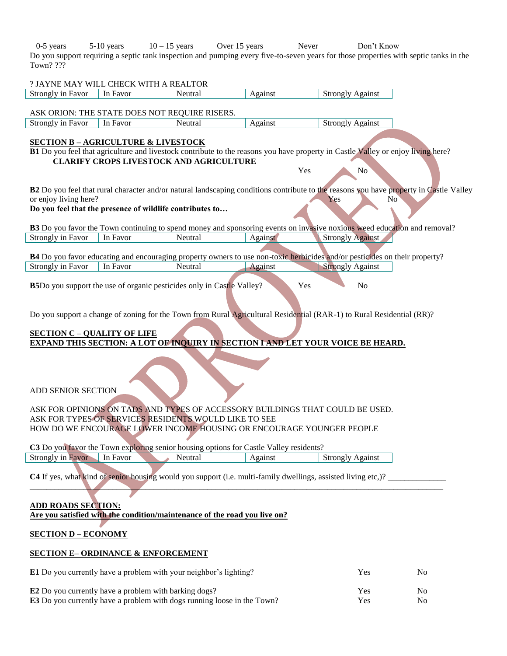0-5 years 5-10 years 10 – 15 years Over 15 years Never Don't Know Do you support requiring a septic tank inspection and pumping every five-to-seven years for those properties with septic tanks in the Town? ???

 $\overline{\phantom{a}}$ 

 $\overline{\phantom{a}}$ 

|                                    | ? JAYNE MAY WILL CHECK WITH A REALTOR                     |                                                                                        |         |                                                                                                                                                       |                |
|------------------------------------|-----------------------------------------------------------|----------------------------------------------------------------------------------------|---------|-------------------------------------------------------------------------------------------------------------------------------------------------------|----------------|
| Strongly in Favor                  | In Favor                                                  | Neutral                                                                                | Against | <b>Strongly Against</b>                                                                                                                               |                |
|                                    |                                                           |                                                                                        |         |                                                                                                                                                       |                |
|                                    | ASK ORION: THE STATE DOES NOT REQUIRE RISERS.<br>In Favor |                                                                                        | Against |                                                                                                                                                       |                |
| <b>Strongly in Favor</b>           |                                                           | Neutral                                                                                |         | <b>Strongly Against</b>                                                                                                                               |                |
|                                    | <b>SECTION B - AGRICULTURE &amp; LIVESTOCK</b>            |                                                                                        |         |                                                                                                                                                       |                |
|                                    |                                                           |                                                                                        |         | <b>B1</b> Do you feel that agriculture and livestock contribute to the reasons you have property in Castle Valley or enjoy living here?               |                |
|                                    |                                                           | <b>CLARIFY CROPS LIVESTOCK AND AGRICULTURE</b>                                         |         |                                                                                                                                                       |                |
|                                    |                                                           |                                                                                        | Yes     | N <sub>o</sub>                                                                                                                                        |                |
|                                    |                                                           |                                                                                        |         | B2 Do you feel that rural character and/or natural landscaping conditions contribute to the reasons you have property in Castle Valley                |                |
| or enjoy living here?              | Do you feel that the presence of wildlife contributes to  |                                                                                        |         | Yes<br>No                                                                                                                                             |                |
|                                    |                                                           |                                                                                        |         |                                                                                                                                                       |                |
|                                    |                                                           |                                                                                        |         | B3 Do you favor the Town continuing to spend money and sponsoring events on invasive noxious weed education and removal?                              |                |
| <b>Strongly in Favor</b>           | In Favor                                                  | Neutral                                                                                | Against | <b>Strongly Against</b>                                                                                                                               |                |
|                                    |                                                           |                                                                                        |         |                                                                                                                                                       |                |
| <b>Strongly in Favor</b>           | In Favor                                                  |                                                                                        |         | B4 Do you favor educating and encouraging property owners to use non-toxic herbicides and/or pesticides on their property?<br><b>Strongly Against</b> |                |
|                                    |                                                           | Neutral                                                                                | Against |                                                                                                                                                       |                |
|                                    |                                                           | <b>B5</b> Do you support the use of organic pesticides only in Castle Valley?          | Yes     | N <sub>o</sub>                                                                                                                                        |                |
|                                    |                                                           |                                                                                        |         |                                                                                                                                                       |                |
|                                    |                                                           |                                                                                        |         |                                                                                                                                                       |                |
|                                    |                                                           |                                                                                        |         | Do you support a change of zoning for the Town from Rural Agricultural Residential (RAR-1) to Rural Residential (RR)?                                 |                |
|                                    |                                                           |                                                                                        |         |                                                                                                                                                       |                |
| <b>SECTION C - QUALITY OF LIFE</b> |                                                           |                                                                                        |         | <b>EXPAND THIS SECTION: A LOT OF INQUIRY IN SECTION I AND LET YOUR VOICE BE HEARD.</b>                                                                |                |
|                                    |                                                           |                                                                                        |         |                                                                                                                                                       |                |
|                                    |                                                           |                                                                                        |         |                                                                                                                                                       |                |
|                                    |                                                           |                                                                                        |         |                                                                                                                                                       |                |
|                                    |                                                           |                                                                                        |         |                                                                                                                                                       |                |
| <b>ADD SENIOR SECTION</b>          |                                                           |                                                                                        |         |                                                                                                                                                       |                |
|                                    |                                                           |                                                                                        |         |                                                                                                                                                       |                |
|                                    |                                                           | ASK FOR TYPES OF SERVICES RESIDENTS WOULD LIKE TO SEE                                  |         | ASK FOR OPINIONS ON TADS AND TYPES OF ACCESSORY BUILDINGS THAT COULD BE USED.                                                                         |                |
|                                    |                                                           | HOW DO WE ENCOURAGE LOWER INCOME HOUSING OR ENCOURAGE YOUNGER PEOPLE                   |         |                                                                                                                                                       |                |
|                                    |                                                           |                                                                                        |         |                                                                                                                                                       |                |
|                                    |                                                           | C3 Do you favor the Town exploring senior housing options for Castle Valley residents? |         |                                                                                                                                                       |                |
| <b>Strongly in Favor</b>           | In Favor                                                  | Neutral                                                                                | Against | <b>Strongly Against</b>                                                                                                                               |                |
|                                    |                                                           |                                                                                        |         |                                                                                                                                                       |                |
|                                    |                                                           |                                                                                        |         | C4 If yes, what kind of senior housing would you support (i.e. multi-family dwellings, assisted living etc.)?                                         |                |
|                                    |                                                           |                                                                                        |         |                                                                                                                                                       |                |
| <b>ADD ROADS SECTION:</b>          |                                                           |                                                                                        |         |                                                                                                                                                       |                |
|                                    |                                                           | Are you satisfied with the condition/maintenance of the road you live on?              |         |                                                                                                                                                       |                |
|                                    |                                                           |                                                                                        |         |                                                                                                                                                       |                |
| <b>SECTION D - ECONOMY</b>         |                                                           |                                                                                        |         |                                                                                                                                                       |                |
|                                    | <b>SECTION E-ORDINANCE &amp; ENFORCEMENT</b>              |                                                                                        |         |                                                                                                                                                       |                |
|                                    |                                                           | <b>E1</b> Do you currently have a problem with your neighbor's lighting?               |         | Yes                                                                                                                                                   | No             |
|                                    | E2 Do you currently have a problem with barking dogs?     |                                                                                        |         | Yes                                                                                                                                                   | No             |
|                                    |                                                           | E3 Do you currently have a problem with dogs running loose in the Town?                |         | Yes                                                                                                                                                   | N <sub>o</sub> |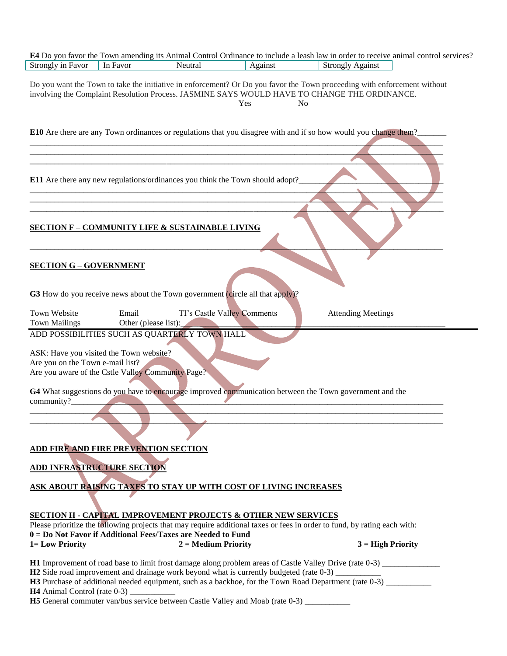|                                                                                                                                                 |                                                                           |                       |                                                                                                                                                                                 | E4 Do you favor the Town amending its Animal Control Ordinance to include a leash law in order to receive animal control services?                                                                                                         |
|-------------------------------------------------------------------------------------------------------------------------------------------------|---------------------------------------------------------------------------|-----------------------|---------------------------------------------------------------------------------------------------------------------------------------------------------------------------------|--------------------------------------------------------------------------------------------------------------------------------------------------------------------------------------------------------------------------------------------|
| Strongly in Favor                                                                                                                               | In Favor                                                                  | Neutral               | Against                                                                                                                                                                         | <b>Strongly Against</b>                                                                                                                                                                                                                    |
|                                                                                                                                                 |                                                                           |                       | Yes                                                                                                                                                                             | Do you want the Town to take the initiative in enforcement? Or Do you favor the Town proceeding with enforcement without<br>involving the Complaint Resolution Process. JASMINE SAYS WOULD HAVE TO CHANGE THE ORDINANCE.<br>N <sub>o</sub> |
|                                                                                                                                                 |                                                                           |                       |                                                                                                                                                                                 | <b>E10</b> Are there are any Town ordinances or regulations that you disagree with and if so how would you change them?                                                                                                                    |
|                                                                                                                                                 |                                                                           |                       |                                                                                                                                                                                 |                                                                                                                                                                                                                                            |
|                                                                                                                                                 |                                                                           |                       | <b>E11</b> Are there any new regulations/ordinances you think the Town should adopt?                                                                                            |                                                                                                                                                                                                                                            |
|                                                                                                                                                 | <b>SECTION F - COMMUNITY LIFE &amp; SUSTAINABLE LIVING</b>                |                       |                                                                                                                                                                                 |                                                                                                                                                                                                                                            |
| <b>SECTION G - GOVERNMENT</b>                                                                                                                   |                                                                           |                       | G3 How do you receive news about the Town government (circle all that apply)?                                                                                                   |                                                                                                                                                                                                                                            |
| Town Website<br><b>Town Mailings</b>                                                                                                            | Email<br>Other (please list):                                             |                       | TI's Castle Valley Comments                                                                                                                                                     | <b>Attending Meetings</b>                                                                                                                                                                                                                  |
| ADD POSSIBILITIES SUCH AS QUARTERLY TOWN HALL                                                                                                   |                                                                           |                       |                                                                                                                                                                                 |                                                                                                                                                                                                                                            |
| ASK: Have you visited the Town website?<br>Are you on the Town e-mail list?<br>Are you aware of the Cstle Valley Community Page?<br>community?_ |                                                                           |                       |                                                                                                                                                                                 | G4 What suggestions do you have to encourage improved communication between the Town government and the                                                                                                                                    |
|                                                                                                                                                 |                                                                           |                       |                                                                                                                                                                                 |                                                                                                                                                                                                                                            |
|                                                                                                                                                 | ADD FIRE AND FIRE PREVENTION SECTION<br><b>ADD INFRASTRUCTURE SECTION</b> |                       |                                                                                                                                                                                 |                                                                                                                                                                                                                                            |
|                                                                                                                                                 |                                                                           |                       | ASK ABOUT RAISING TAXES TO STAY UP WITH COST OF LIVING INCREASES                                                                                                                |                                                                                                                                                                                                                                            |
|                                                                                                                                                 |                                                                           |                       | <b>SECTION H - CAPITAL IMPROVEMENT PROJECTS &amp; OTHER NEW SERVICES</b>                                                                                                        | Please prioritize the following projects that may require additional taxes or fees in order to fund, by rating each with:                                                                                                                  |
| $0 = Do$ Not Favor if Additional Fees/Taxes are Needed to Fund<br>1= Low Priority                                                               |                                                                           | $2 = Medium$ Priority |                                                                                                                                                                                 | $3 = High Priority$                                                                                                                                                                                                                        |
| $H4$ Animal Control (rate 0-3)                                                                                                                  |                                                                           |                       | <b>H2</b> Side road improvement and drainage work beyond what is currently budgeted (rate 0-3)<br>H5 General commuter van/bus service between Castle Valley and Moab (rate 0-3) | H3 Purchase of additional needed equipment, such as a backhoe, for the Town Road Department (rate 0-3) _______                                                                                                                             |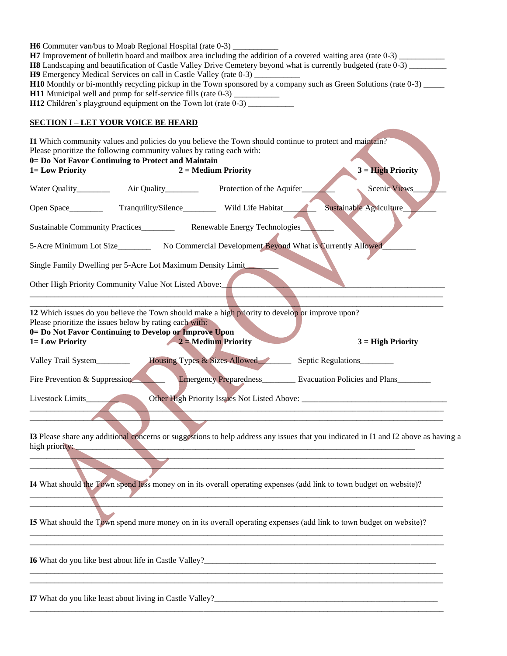| <b>H6</b> Commuter van/bus to Moab Regional Hospital (rate 0-3)<br>H7 Improvement of bulletin board and mailbox area including the addition of a covered waiting area (rate 0-3)<br>H8 Landscaping and beautification of Castle Valley Drive Cemetery beyond what is currently budgeted (rate 0-3)<br>H9 Emergency Medical Services on call in Castle Valley (rate 0-3) ______________<br>H10 Monthly or bi-monthly recycling pickup in the Town sponsored by a company such as Green Solutions (rate 0-3) _____<br>H11 Municipal well and pump for self-service fills (rate 0-3) __________<br>H12 Children's playground equipment on the Town lot (rate 0-3) ____ |
|---------------------------------------------------------------------------------------------------------------------------------------------------------------------------------------------------------------------------------------------------------------------------------------------------------------------------------------------------------------------------------------------------------------------------------------------------------------------------------------------------------------------------------------------------------------------------------------------------------------------------------------------------------------------|
| <b>SECTION I-LET YOUR VOICE BE HEARD</b>                                                                                                                                                                                                                                                                                                                                                                                                                                                                                                                                                                                                                            |
| I1 Which community values and policies do you believe the Town should continue to protect and maintain?<br>Please prioritize the following community values by rating each with:<br>0= Do Not Favor Continuing to Protect and Maintain<br>1= Low Priority<br>$2 = Medium$ Priority<br>$3 = High Priority$                                                                                                                                                                                                                                                                                                                                                           |
| Scenic Views                                                                                                                                                                                                                                                                                                                                                                                                                                                                                                                                                                                                                                                        |
| Tranquility/Silence_________ Wild Life Habitat___<br>Sustainable Agriculture<br>Open Space__________                                                                                                                                                                                                                                                                                                                                                                                                                                                                                                                                                                |
| Sustainable Community Practices_____________ Renewable Energy Technologies_                                                                                                                                                                                                                                                                                                                                                                                                                                                                                                                                                                                         |
| 5-Acre Minimum Lot Size___________ No Commercial Development Beyond What is Currently Allowed                                                                                                                                                                                                                                                                                                                                                                                                                                                                                                                                                                       |
| Single Family Dwelling per 5-Acre Lot Maximum Density Limit                                                                                                                                                                                                                                                                                                                                                                                                                                                                                                                                                                                                         |
| Other High Priority Community Value Not Listed Above:                                                                                                                                                                                                                                                                                                                                                                                                                                                                                                                                                                                                               |
| 12 Which issues do you believe the Town should make a high priority to develop or improve upon?<br>Please prioritize the issues below by rating each with:<br>0= Do Not Favor Continuing to Develop or Improve Upon<br>$2$ = Medium Priority<br>1= Low Priority<br>$3 = High Priority$                                                                                                                                                                                                                                                                                                                                                                              |
| Housing Types & Sizes Allowed<br>Valley Trail System_______<br>Septic Regulations                                                                                                                                                                                                                                                                                                                                                                                                                                                                                                                                                                                   |
|                                                                                                                                                                                                                                                                                                                                                                                                                                                                                                                                                                                                                                                                     |
| Emergency Preparedness________ Evacuation Policies and Plans_<br>Fire Prevention & Suppression                                                                                                                                                                                                                                                                                                                                                                                                                                                                                                                                                                      |
| Livestock Limits_____                                                                                                                                                                                                                                                                                                                                                                                                                                                                                                                                                                                                                                               |
| I3 Please share any additional concerns or suggestions to help address any issues that you indicated in I1 and I2 above as having a<br>high priority:                                                                                                                                                                                                                                                                                                                                                                                                                                                                                                               |
| 14 What should the Town spend less money on in its overall operating expenses (add link to town budget on website)?                                                                                                                                                                                                                                                                                                                                                                                                                                                                                                                                                 |
| <b>I5</b> What should the Town spend more money on in its overall operating expenses (add link to town budget on website)?                                                                                                                                                                                                                                                                                                                                                                                                                                                                                                                                          |
|                                                                                                                                                                                                                                                                                                                                                                                                                                                                                                                                                                                                                                                                     |